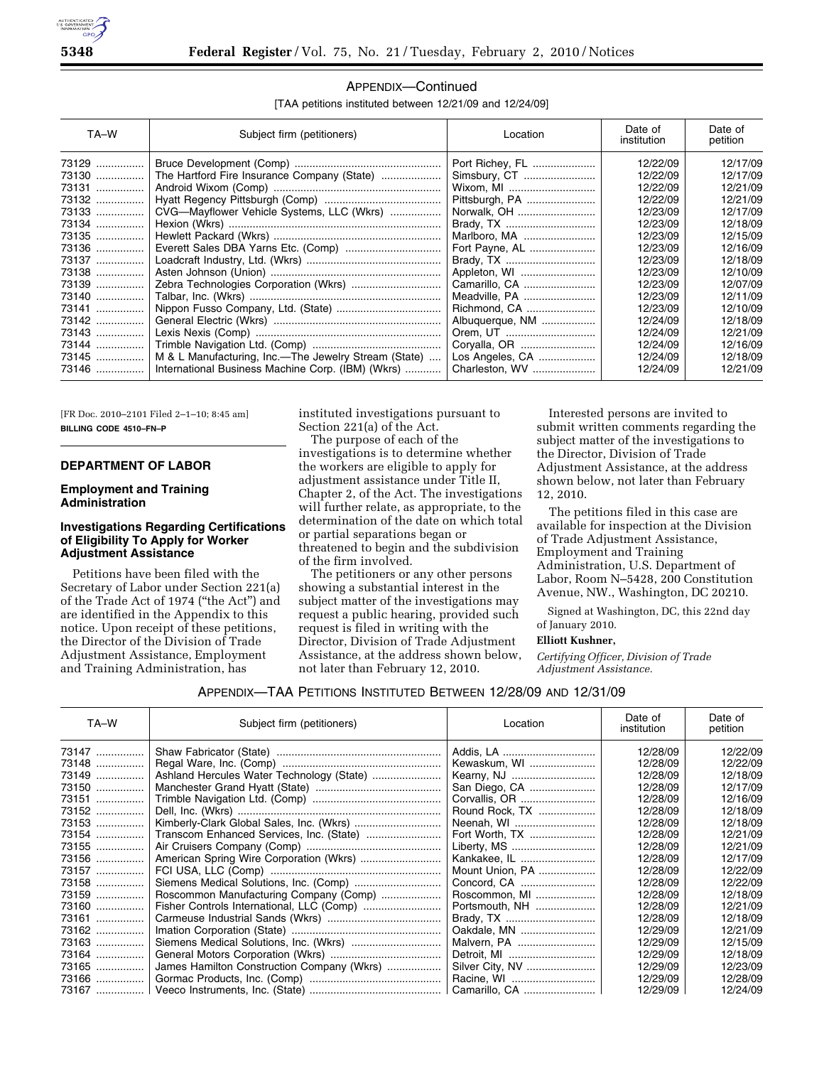

[TAA petitions instituted between 12/21/09 and 12/24/09]

| TA-W           | Subject firm (petitioners)                           | Location                    | Date of<br>institution | Date of<br>petition  |
|----------------|------------------------------------------------------|-----------------------------|------------------------|----------------------|
| 73129          |                                                      | Port Richey, FL             | 12/22/09               | 12/17/09             |
| 73130<br>73131 |                                                      | Simsbury, CT                | 12/22/09<br>12/22/09   | 12/17/09<br>12/21/09 |
| 73132          |                                                      | Wixom, MI<br>Pittsburgh, PA | 12/22/09               | 12/21/09             |
| 73133          | CVG-Mayflower Vehicle Systems, LLC (Wkrs)            | Norwalk, OH                 | 12/23/09               | 12/17/09             |
| 73134          |                                                      |                             | 12/23/09               | 12/18/09             |
| 73135          |                                                      | Marlboro, MA                | 12/23/09               | 12/15/09             |
| 73136          |                                                      | Fort Payne, AL              | 12/23/09               | 12/16/09             |
| 73137          |                                                      |                             | 12/23/09               | 12/18/09             |
| 73138          |                                                      | Appleton, WI                | 12/23/09               | 12/10/09             |
| 73139          |                                                      | Camarillo, CA               | 12/23/09               | 12/07/09             |
| 73140          |                                                      | Meadville, PA               | 12/23/09               | 12/11/09             |
| 73141          |                                                      | Richmond, CA                | 12/23/09               | 12/10/09             |
| 73142          |                                                      | Albuquerque, NM             | 12/24/09               | 12/18/09             |
| 73143          |                                                      | Orem, UT                    | 12/24/09               | 12/21/09             |
| 73144          |                                                      | Coryalla, OR                | 12/24/09               | 12/16/09             |
| 73145          | M & L Manufacturing, Inc.—The Jewelry Stream (State) | Los Angeles, CA             | 12/24/09               | 12/18/09             |
| 73146          | International Business Machine Corp. (IBM) (Wkrs)    | Charleston, WV              | 12/24/09               | 12/21/09             |

[FR Doc. 2010–2101 Filed 2–1–10; 8:45 am] **BILLING CODE 4510–FN–P** 

### **DEPARTMENT OF LABOR**

#### **Employment and Training Administration**

# **Investigations Regarding Certifications of Eligibility To Apply for Worker Adjustment Assistance**

Petitions have been filed with the Secretary of Labor under Section 221(a) of the Trade Act of 1974 (''the Act'') and are identified in the Appendix to this notice. Upon receipt of these petitions, the Director of the Division of Trade Adjustment Assistance, Employment and Training Administration, has

instituted investigations pursuant to Section 221(a) of the Act.

The purpose of each of the investigations is to determine whether the workers are eligible to apply for adjustment assistance under Title II, Chapter 2, of the Act. The investigations will further relate, as appropriate, to the determination of the date on which total or partial separations began or threatened to begin and the subdivision of the firm involved.

The petitioners or any other persons showing a substantial interest in the subject matter of the investigations may request a public hearing, provided such request is filed in writing with the Director, Division of Trade Adjustment Assistance, at the address shown below, not later than February 12, 2010.

Interested persons are invited to submit written comments regarding the subject matter of the investigations to the Director, Division of Trade Adjustment Assistance, at the address shown below, not later than February 12, 2010.

The petitions filed in this case are available for inspection at the Division of Trade Adjustment Assistance, Employment and Training Administration, U.S. Department of Labor, Room N–5428, 200 Constitution Avenue, NW., Washington, DC 20210.

Signed at Washington, DC, this 22nd day of January 2010.

#### **Elliott Kushner,**

*Certifying Officer, Division of Trade Adjustment Assistance.* 

#### APPENDIX—TAA PETITIONS INSTITUTED BETWEEN 12/28/09 AND 12/31/09

| TA-W  | Subject firm (petitioners)                 | Location        | Date of<br>institution | Date of<br>petition |
|-------|--------------------------------------------|-----------------|------------------------|---------------------|
| 73147 |                                            | Addis, LA       | 12/28/09               | 12/22/09            |
| 73148 |                                            | Kewaskum, WI    | 12/28/09               | 12/22/09            |
| 73149 |                                            |                 | 12/28/09               | 12/18/09            |
| 73150 |                                            | San Diego, CA   | 12/28/09               | 12/17/09            |
| 73151 |                                            | Corvallis, OR   | 12/28/09               | 12/16/09            |
| 73152 |                                            | Round Rock, TX  | 12/28/09               | 12/18/09            |
| 73153 |                                            | Neenah, WI      | 12/28/09               | 12/18/09            |
| 73154 |                                            | Fort Worth, TX  | 12/28/09               | 12/21/09            |
| 73155 |                                            | Liberty, MS     | 12/28/09               | 12/21/09            |
| 73156 | American Spring Wire Corporation (Wkrs)    | Kankakee, IL    | 12/28/09               | 12/17/09            |
| 73157 |                                            | Mount Union, PA | 12/28/09               | 12/22/09            |
| 73158 |                                            |                 | 12/28/09               | 12/22/09            |
| 73159 | Roscommon Manufacturing Company (Comp)     | Roscommon, MI   | 12/28/09               | 12/18/09            |
| 73160 |                                            | Portsmouth, NH  | 12/28/09               | 12/21/09            |
| 73161 |                                            | Brady, TX       | 12/28/09               | 12/18/09            |
| 73162 |                                            | Oakdale, MN     | 12/29/09               | 12/21/09            |
| 73163 |                                            | Malvern, PA     | 12/29/09               | 12/15/09            |
| 73164 |                                            | Detroit, MI     | 12/29/09               | 12/18/09            |
| 73165 | James Hamilton Construction Company (Wkrs) | Silver City, NV | 12/29/09               | 12/23/09            |
| 73166 |                                            | Racine, WI      | 12/29/09               | 12/28/09            |
|       |                                            |                 | 12/29/09               | 12/24/09            |